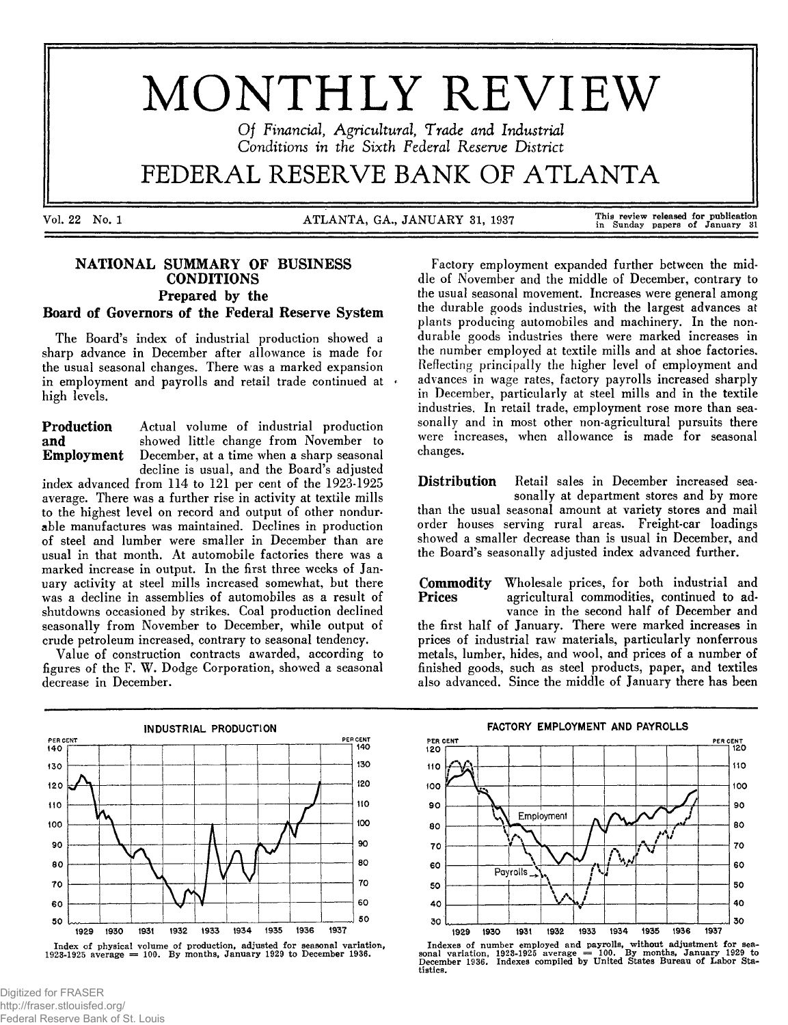# MONTHLY REVIEW

Of Financial, Agricultural, Trade and Industrial Conditions in the Sixth Federal Reserve District

## FEDERAL RESERVE BANK OF ATLANTA

Vol. 22 No. 1 **ATLANTA, GA., JANUARY 31, 1937** 

This review released for publication<br>in Sunday papers of January 31

### NATIONAL SUMMARY OF BUSINESS **CONDITIONS** Prepared by the Board of Governors of the Federal Reserve System

The Board's index of industrial production showed a sharp advance in December after allowance is made for **the usual seasonal changes. There was a marked expansion in em ploym ent and payrolls and retail trade continued at high levels.**

**Production** Actual volume of industrial production and showed little change from November to and showed little change from November to<br>**Employment** December, at a time when a sharp seasonal December, at a time when a sharp seasonal **d ecline is usual, and the Board's adjusted**

index advanced from 114 to 121 per cent of the 1923-1925 average. There was a further rise in activity at textile mills **to the highest level on record and output of other nondur**able manufactures was maintained. Declines in production of steel and lumber were smaller in December than are **usual in that m onth. At autom obile factories there was a** marked increase in output. In the first three weeks of January activity at steel mills increased somewhat, but there was a decline in assemblies of automobiles as a result of **shutdowns occasioned by strikes. Coal production declined** seasonally from November to December, while output of **crude petroleum increased, contrary to seasonal tendency.**

Value of construction contracts awarded, according to figures of the F. W. Dodge Corporation, showed a seasonal decrease in December.

Factory employment expanded further between the middle of November and the middle of December, contrary to the usual seasonal movement. Increases were general among **the durable goods industries, with the largest advances at** plants producing automobiles and machinery. In the non**durable goods industries there were marked increases in the number em ployed at textile m ills and at shoe factories.** Reflecting principally the higher level of employment and **advances in wage rates, factory payrolls increased sharply** in December, particularly at steel mills and in the textile industries. In retail trade, employment rose more than sea**son ally and in most other non-agricultural pursuits there** were increases, when allowance is made for seasonal **changes.**

**Distribution** Retail sales in December increased seasonally at department stores and by more than the usual seasonal amount at variety stores and mail **order houses serving rural areas. Freight-car loadings** showed a smaller decrease than is usual in December, and the Board's seasonally adjusted index advanced further.

**Commodity** Wholesale prices, for both industrial and **Prices** agricultural commodities, continued to adagricultural commodities, continued to advance in the second half of December and the first half of January. There were marked increases in prices of industrial raw materials, particularly nonferrous metals, lumber, hides, and wool, and prices of a number of **finished goods, such as steel products, paper, and textiles** also advanced. Since the middle of January there has been



Index of physical volume of production, adjusted for seasonal variation.<br>1923-1925 average = 100. By months, January 1929 to December 1936.



Indexes of number employed and payrolls, without adjustment for sea-<br>sonal variation, 1923-1925 average = 100. By months, January 1929 to<br>December 1936. Indexes compiled by United States Bureau of Labor Statistics.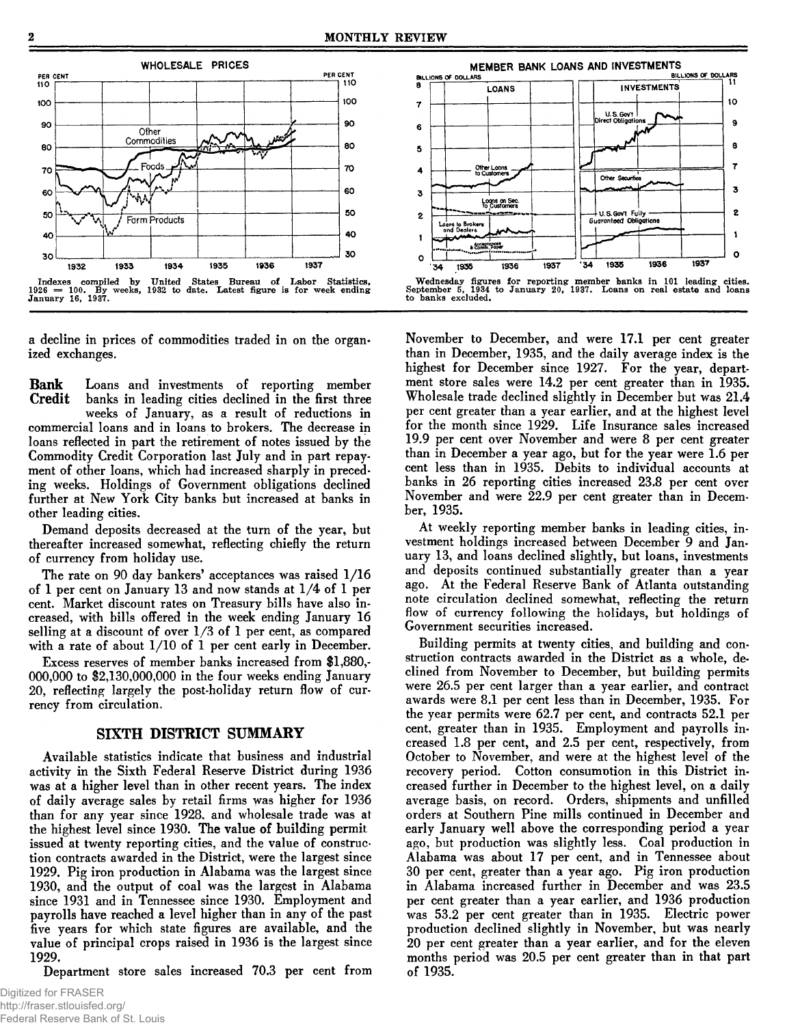

a decline in prices of commodities traded in on the organ**ized exchanges.**

**Bank** Loans and investments of reporting member<br>Credit banks in leading cities declined in the first three banks in leading cities declined in the first three weeks of January, as a result of reductions in **com m ercial loans and in loans to brokers. The decrease in** loans reflected in part the retirement of notes issued by the Commodity Credit Corporation last July and in part repayment of other loans, which had increased sharply in preceding weeks. Holdings of Government obligations declined further at New York City banks but increased at banks in other leading cities.

Demand deposits decreased at the turn of the year, but thereafter increased somewhat, reflecting chiefly the return of currency from holiday use.

The rate on 90 day bankers' acceptances was raised  $1/16$ of 1 per cent on January 13 and now stands at 1/4 of 1 per cent. Market discount rates on Treasury bills have also increased, with bills offered in the week ending January 16 selling at a discount of over  $1/3$  of 1 per cent, as compared with a rate of about  $1/10$  of 1 per cent early in December.

Excess reserves of member banks increased from \$1,880,-**000,000 to \$2,130,000,000 in the four weeks ending January** 20, reflecting largely the post-holiday return flow of cur**rency from circulation.**

#### SIXTH DISTRICT SUMMARY

Available statistics indicate that business and industrial activity in the Sixth Federal Reserve District during 1936 was at a higher level than in other recent years. The index of daily average sales by retail firms was higher for 1936 than for any year since 1928, and wholesale trade was at the highest level since 1930. The value of building permit issued at twenty reporting cities, and the value of construction contracts awarded in the District, were the largest since 1929. Pig iron production in Alabama was the largest since 1930, and the output of coal was the largest in Alabama since 1931 and in Tennessee since 1930. Employment and payrolls have reached a level higher than in any of the past five years for which state figures are available, and the value of principal crops raised in 1936 is the largest since **1929.**

Department store sales increased 70.3 per cent from



November to December, and were 17.1 per cent greater than in December, 1935, and the daily average index is the highest for December since 1927. For the year, department store sales were 14.2 per cent greater than in 1935. Wholesale trade declined slightly in December but was 21.4 per cent greater than a year earlier, and at the highest level for the month since 1929. Life Insurance sales increased 19.9 per cent over November and were 8 per cent greater than in December a year ago, but for the year were 1.6 per cent less than in 1935. Debits to individual accounts at banks in 26 reporting cities increased 23.8 per cent over November and were 22.9 per cent greater than in Decem**ber, 1935.**

At weekly reporting member banks in leading cities, investment holdings increased between December 9 and January 13, and loans declined slightly, but loans, investments and deposits continued substantially greater than a year ago. At the Federal Reserve Bank of Atlanta outstanding note circulation declined somewhat, reflecting the return flow of currency following the holidays, but holdings of Government securities increased.

Building permits at twenty cities, and building and construction contracts awarded in the District as a whole, declined from November to December, but building permits **were 26.5 per cent larger than a year earlier, and contract** awards were 8.1 per cent less than in December, 1935. For **the year perm its w ere 62.7 per cent, and contracts 52.1 per** cent, greater than in 1935. Employment and payrolls in**creased 1.8 per cent, and 2.5 per cent, respectively, from** October to November, and were at the highest level of the recovery period. Cotton consumption in this District increased further in December to the highest level, on a daily average basis, on record. Orders, shipments and unfilled orders at Southern Pine mills continued in December and early January well above the corresponding period a year ago, but production was slightly less. Coal production in Alabama was about 17 per cent, and in Tennessee about **30 per cent, greater than a year ago. Pig iron production** in Alabama increased further in December and was 23.5 **per cent greater than a year earlier, and 1936 production** was 53.2 per cent greater than in 1935. Electric power production declined slightly in November, but was nearly **20 per cent greater than a year earlier, and for the eleven months period was 20.5 per cent greater than in that part o f 1935.**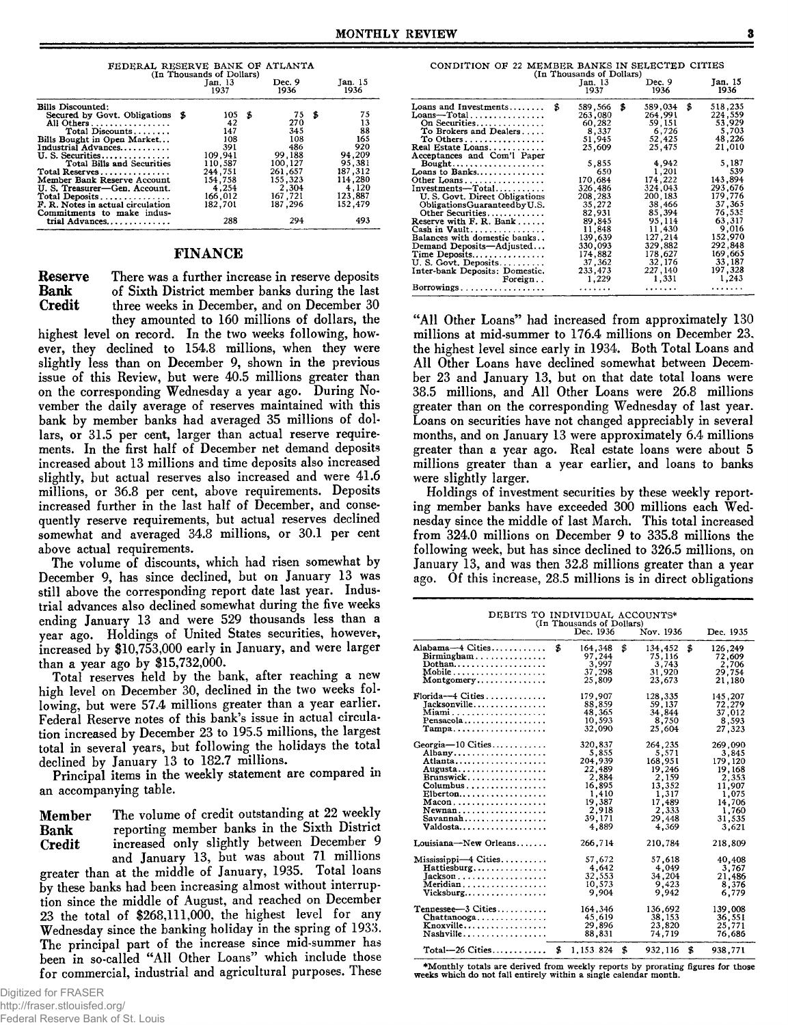| FEDERAL RESERVE BANK OF ATLANTA<br>(In Thousands of Dollars)                                                                                                                                                                                                                                                                                                                           |  | Jan. 15<br>1936                                                                                                  |   |                                                                                                                 |   |                                                                                                              |
|----------------------------------------------------------------------------------------------------------------------------------------------------------------------------------------------------------------------------------------------------------------------------------------------------------------------------------------------------------------------------------------|--|------------------------------------------------------------------------------------------------------------------|---|-----------------------------------------------------------------------------------------------------------------|---|--------------------------------------------------------------------------------------------------------------|
| Bills Discounted:<br>Secured by Govt. Obligations \$<br>All Others<br>Total Discounts<br>Bills Bought in Open Market<br>Industrial Advances<br>U. S. Securities<br>Total Bills and Securities<br>Total Reserves<br>Member Bank Reserve Account<br>U. S. Treasurer-Gen. Account.<br>Total Deposits<br>F. R. Notes in actual circulation<br>Commitments to make indus-<br>trial Advances |  | 105<br>42<br>147<br>108<br>391<br>109.941<br>110,587<br>244,751<br>154.758<br>4.254<br>166.012<br>182,701<br>288 | Б | 75<br>270<br>345<br>108<br>486<br>99.188<br>100,127<br>261.657<br>155,323<br>2.304<br>167,721<br>187.296<br>294 | S | 75<br>13<br>88<br>165<br>920<br>94.209<br>95,381<br>187,312<br>114.280<br>4,120<br>123.887<br>152,479<br>493 |

#### FINANCE

**Reserve** There was a further increase in reserve deposits<br>**Bank** of Sixth District member banks during the last **Bank** of Sixth District member banks during the last<br>Credit three weeks in December, and on December 30 three weeks in December, and on December 30 they amounted to 160 millions of dollars, the

highest level on record. In the two weeks following, however, they declined to 154.8 millions, when they were slightly less than on December 9, shown in the previous issue of this Review, but were 40.5 millions greater than on the corresponding Wednesday a year ago. During November the daily average of reserves maintained with this bank by member banks had averaged 35 millions of dol**lars, or 31.5 per cent, larger than actual reserve require**ments. In the first half of December net demand deposits increased about 13 millions and time deposits also increased **slightly, but actual reserves also increased and were 41.6** millions, or 36.8 per cent, above requirements. Deposits increased further in the last half of December, and conse**quently reserve requirem ents, but actual reserves declined** somewhat and averaged 34.8 millions, or 30.1 per cent above actual requirements.

The volume of discounts, which had risen somewhat by **D ecem ber 9, has since declined, but on January 13 was still above the corresponding report date last year. Indus**trial advances also declined somewhat during the five weeks **ending January 13 and were 529 thousands less than a** year ago. Holdings of United States securities, however, **increased by \$10,753,000 early in January, and were larger than a year ago by \$15,732,000.**

**T otal reserves held by the bank, after reaching a new** high level on December 30, declined in the two weeks following, but were 57.4 millions greater than a year earlier. Federal Reserve notes of this bank's issue in actual circulation increased by December 23 to 195.5 millions, the largest total in several years, but following the holidays the total declined by January 13 to 182.7 millions.

**Principal items in the weekly statement are compared in an accom panying table.**

**Member** The volume of credit outstanding at 22 weekly **Bank** reporting member banks in the Sixth District **Credit increased** only slightly between December 9 and January 13, but was about 71 millions

greater than at the middle of January, 1935. Total loans by these banks had been increasing almost without interruption since the middle of August, and reached on December 23 the total of \$268,111,000, the highest level for any Wednesday since the banking holiday in the spring of 1933. The principal part of the increase since mid-summer has **been in so-called "A ll Other Loans" w hich include those for com m ercial, industrial and agricultural purposes. These**

|                                                   | (In Thousands of Dollars) |                |                        |
|---------------------------------------------------|---------------------------|----------------|------------------------|
|                                                   | Jan. 13<br>1937           | Dec. 9<br>1936 | <b>Jan. 15</b><br>1936 |
| Loans and Investments                             | \$<br>589.566             | \$<br>589,034  | \$<br>518,235          |
| $Loans-Total$                                     | 263.080                   | 264.991        | 224,559                |
| On Securities                                     | 60,282                    | 59,151         | 53,929                 |
| To Brokers and Dealers                            | 8.337                     | 6,726          | 5,703                  |
| To Others                                         | 51,945                    | 52.425         | 48,226                 |
| Real Estate Loans                                 | 25,609                    | 25,475         | 21,010                 |
| Acceptances and Com'l Paper                       |                           |                |                        |
| $Bought$                                          | 5,855                     | 4,942          | 5,187                  |
| Loans to Banks                                    | 650                       | 1,201          | 539                    |
| Other Loans                                       | 170,684                   | 174,222        | 143,894                |
| Investments—Total                                 | 326.486                   | 324,043        | 293,676                |
| U.S. Govt. Direct Obligations                     | 208,283                   | 200, 183       | 179.776                |
| ObligationsGuaranteedby U.S.                      | 35,272                    | 38.466         | 37,365                 |
| Other Securities                                  | 82,931                    | 85,394         | 76,535                 |
| Reserve with $F. R.$ Bank $\ldots$                | 89,845                    | 95.114         | 63,317                 |
| Cash in Vault                                     | 11,848                    | 11,430         | 9,016                  |
| Balances with domestic banks                      | 139.639                   | 127,214        | 152,970                |
| Demand Deposits—Adjusted                          | 330,093                   | 329,882        | 292.848                |
| $Time\, \, Deposits. \ldots \ldots \ldots \ldots$ | 174,882                   | 178,627        | 169,665                |
| U.S. Govt. Deposits                               | 37.362                    | 32,176         | 33,187                 |
| Inter-bank Deposits: Domestic.                    | 233.473                   | 227,140        | 197,328                |
| Foreign                                           | 1.229                     | 1,331          | 1,243                  |
| Borrowings                                        | .                         | .              | .                      |
|                                                   |                           |                |                        |

"All Other Loans" had increased from approximately 130 millions at mid-summer to 176.4 millions on December 23, the highest level since early in 1934. Both Total Loans and All Other Loans have declined somewhat between Decem**ber 23 and January 13, but on that date total loans were** 38.5 millions, and All Other Loans were 26.8 millions greater than on the corresponding Wednesday of last year. **Loans on securities have not changed appreciably in several** months, and on January 13 were approximately 6.4 millions **greater than a year ago. Real estate loans were about 5** millions greater than a year earlier, and loans to banks were slightly larger.

Holdings of investment securities by these weekly reporting member banks have exceeded 300 millions each Wednesday since the middle of last March. This total increased from 324.0 millions on December 9 to 335.8 millions the following week, but has since declined to 326.5 millions, on January 13, and was then 32.8 millions greater than a year ago. Of this increase, 28.5 millions is in direct obligations

| DEBITS TO INDIVIDUAL ACCOUNTS*<br>(In Thousands of Dollars)                                                                                            |    |                                                                                                         |    |                                                                                                         |    |                                                                                                         |  |  |  |  |
|--------------------------------------------------------------------------------------------------------------------------------------------------------|----|---------------------------------------------------------------------------------------------------------|----|---------------------------------------------------------------------------------------------------------|----|---------------------------------------------------------------------------------------------------------|--|--|--|--|
|                                                                                                                                                        |    | Dec. 1936                                                                                               |    | Nov. 1936                                                                                               |    | Dec. 1935                                                                                               |  |  |  |  |
| Alabama-4 Cities<br>Dothan<br>Montgomery                                                                                                               | \$ | 164.348<br>97,244<br>3.997<br>37,298<br>25.809                                                          | \$ | 134,452<br>75,116<br>3,743<br>31,920<br>23.673                                                          | \$ | 126,249<br>72,609<br>2,706<br>29,754<br>21.180                                                          |  |  |  |  |
| Florida--4 Cities<br>Jacksonville<br>Miami<br>Pensacola<br>Tampa                                                                                       |    | 179,907<br>88,859<br>48,365<br>10,593<br>32,090                                                         |    | 128,335<br>59,137<br>34,844<br>8,750<br>25,604                                                          |    | 145,207<br>72,279<br>37,012<br>8,593<br>27,323                                                          |  |  |  |  |
| Georgia-10 Cities<br>Albany<br>Atlanta<br>Augusta<br>Brunswick<br>$Elberton.$<br>$Macon, \ldots, \ldots, \ldots, \ldots, \ldots$<br>Newnan<br>Valdosta |    | 320,837<br>5.855<br>204,939<br>22,489<br>2,884<br>16,895<br>1,410<br>19,387<br>2,918<br>39,171<br>4.889 |    | 264.235<br>5,571<br>168,951<br>19,246<br>2,159<br>13,352<br>1,317<br>17,489<br>2,333<br>29,448<br>4,369 |    | 269,090<br>3.845<br>179,120<br>19,168<br>2,353<br>11,907<br>1,075<br>14,706<br>1.760<br>31,535<br>3.621 |  |  |  |  |
| Louisiana-New Orleans                                                                                                                                  |    | 266,714                                                                                                 |    | 210,784                                                                                                 |    | 218,809                                                                                                 |  |  |  |  |
| Mississippi-4 Cities<br>Hattiesburg<br>$Jackson$<br>Meridian<br>Vicksburg                                                                              |    | 57,672<br>4,642<br>32,553<br>10,573<br>9.904                                                            |    | 57,618<br>4,049<br>34,204<br>9,423<br>9.942                                                             |    | 40,408<br>3.767<br>21,486<br>8,376<br>6.779                                                             |  |  |  |  |
| $\mathtt{Tennessee}\text{---}3\ \mathtt{Cities} \ldots \ldots \ldots \ldots$<br>$Chattanooga \ldots \ldots \ldots$<br>Knoxville<br>Nashville           |    | 164.346<br>45,619<br>29,896<br>88,831                                                                   |    | 136,692<br>38,153<br>23,820<br>74,719                                                                   |    | 139,008<br>36,551<br>25,771<br>76.686                                                                   |  |  |  |  |
| $Total-26$ Cities                                                                                                                                      | \$ | 1,153.824                                                                                               | \$ | 932,116                                                                                                 | \$ | 938,771                                                                                                 |  |  |  |  |

**♦M o n th ly totals are derived from weekly reports by prorating figures for those weeks which do not fall entirely w ithin a single calendar month.**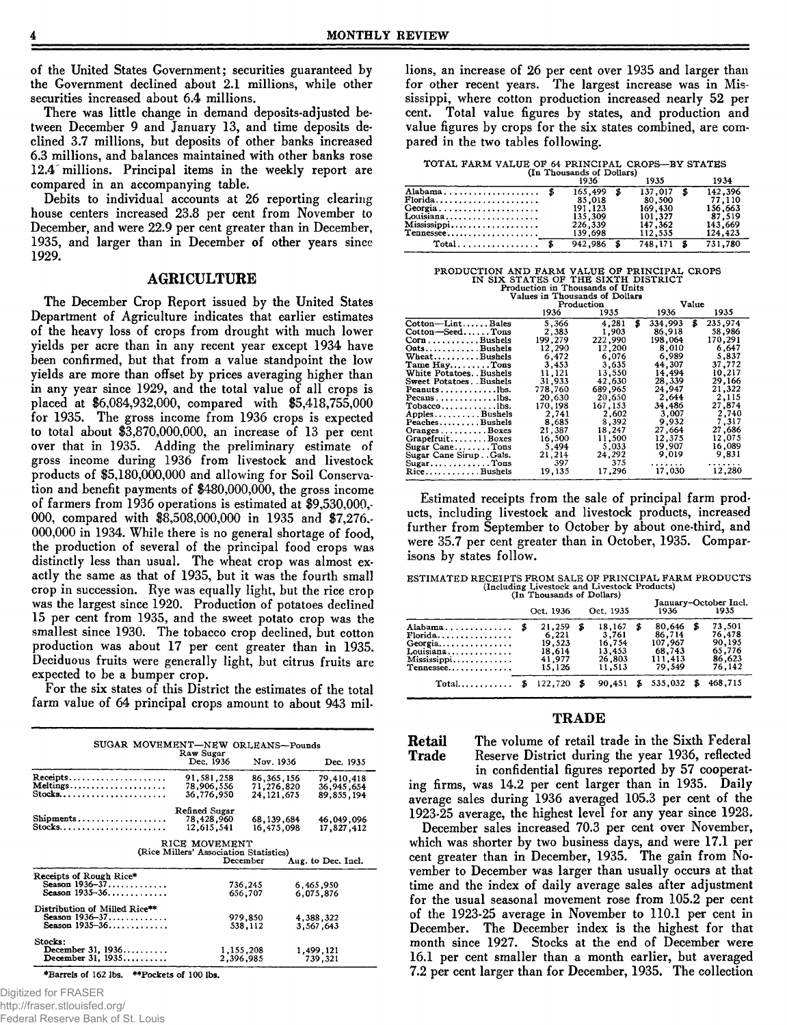of the United States Government; securities guaranteed by the Government declined about 2.1 millions, while other securities increased about 6.4 millions.

There was little change in demand deposits-adjusted between December 9 and January 13, and time deposits declined 3.7 millions, but deposits of other banks increased **6.3 m illio n s, and balances m aintained w ith other banks rose** 12.4 millions. Principal items in the weekly report are **com pared in an accom panying table.**

Debits to individual accounts at 26 reporting clearing house centers increased 23.8 per cent from November to December, and were 22.9 per cent greater than in December, 1935, and larger than in December of other years since **1929.**

#### AGRICULTURE

The December Crop Report issued by the United States Department of Agriculture indicates that earlier estimates of the heavy loss of crops from drought with much lower yields per acre than in any recent year except 1934 have been confirmed, but that from a value standpoint the low yields are more than offset by prices averaging higher than in any year since 1929, and the total value of all crops is placed at \$6,084,932,000, compared with \$5,418,755,000 for 1935. The gross income from 1936 crops is expected to total about \$3,870,000,000, an increase of 13 per cent over that in 1935. Adding the preliminary estimate of **gross incom e during 1936 from livestock and livestock** products of \$5,180,000,000 and allowing for Soil Conservation and benefit payments of \$480,000,000, the gross income of farmers from 1936 operations is estimated at \$9,530,000,-000, compared with \$8,508,000,000 in 1935 and \$7,276, 000,000 in 1934. While there is no general shortage of food, the production of several of the principal food crops was distinctly less than usual. The wheat crop was almost exactly the same as that of 1935, but it was the fourth small crop in succession. Rye was equally light, but the rice crop was the largest since 1920. Production of potatoes declined **15 per cent from 1935, and the sweet potato crop was the** smallest since 1930. The tobacco crop declined, but cotton **production was about 17 per cent greater than in 1935.** Deciduous fruits were generally light, but citrus fruits are expected to be a bumper crop.

For the six states of this District the estimates of the total farm value of 64 principal crops amount to about 943 mil-

| SUGAR MOVEMENT-NEW ORLEANS-Pounds       |                                        |                                            |                                        |
|-----------------------------------------|----------------------------------------|--------------------------------------------|----------------------------------------|
|                                         | Raw Sugar<br>Dec. 1936                 | Nov. 1936                                  | Dec. 1935                              |
| Receipts<br>Meltings<br>Stocks          | 91,581,258<br>78,906,556<br>36,776,950 | 86, 365, 156<br>71.276.820<br>24, 121, 675 | 79,410,418<br>36,945,654<br>89,855,194 |
|                                         | Refined Sugar                          |                                            |                                        |
| Shipments<br>Stocks                     | 78,428,960<br>12.615.541               | 68, 139, 684<br>16,475,098                 | 46,049,096<br>17,827,412               |
|                                         | RICE MOVEMENT                          |                                            |                                        |
|                                         | (Rice Millers' Association Statistics) |                                            |                                        |
|                                         | December                               |                                            | Aug. to Dec. Incl.                     |
| Receipts of Rough Rice*                 |                                        |                                            |                                        |
| Season $1936 - 37 \ldots \ldots \ldots$ |                                        | 736,245                                    | 6,465,950                              |
| Season 1935-36                          |                                        | 656.707                                    | 6,075,876                              |
| Distribution of Milled Rice**           |                                        |                                            |                                        |
| Season 1936-37                          |                                        | 979.850                                    | 4,388,322                              |
| Season $1935 - 36$                      |                                        | 538,112                                    | 3.567.643                              |
| Stocks:                                 |                                        |                                            |                                        |
| December 31, $1936$                     | 1,155,208                              |                                            | 1,499,121                              |
| December 31, 1935                       | 2,396,985                              |                                            | 739,321                                |

**♦Barrels of 162 lbs. \*\*Pockets of 100 lbs.**

lions, an increase of 26 per cent over 1935 and larger than for other recent years. The largest increase was in Mississippi, where cotton production increased nearly 52 per cent. Total value figures by states, and production and value figures by crops for the six states combined, are compared in the two tables following.

TOTAL FARM VALUE OF 64 PRINCIPAL CROPS—BY STATES<br>(In Thousands of Dollars)

|                                                                | (11.1)<br>1936                                                   | 1935                                                          | 1934                                                         |
|----------------------------------------------------------------|------------------------------------------------------------------|---------------------------------------------------------------|--------------------------------------------------------------|
| Alabama \$<br>Georgia<br>Louisiana<br>Mississippi<br>Tennessee | 165.499 \$<br>85,018<br>191,123<br>135.309<br>226,339<br>139,698 | 137.017<br>80.500<br>169,430<br>101.327<br>147,362<br>112,535 | 142,396<br>77.110<br>156,663<br>87.519<br>143.669<br>124.423 |
| $Total \dots \dots \dots \dots \dots$                          | $942.986$ \$                                                     | 748.171 \$                                                    | 731.780                                                      |

PRODUCTION AND FARM VALUE OF PRINCIPAL CROPS<br>
IN SIX STATES OF THE SIXTH DISTRICT<br>
Production in Thousands of Units<br>
Values in Thousands of Dollars

| values in Thousands of Dollars       |            |             |         |               |  |  |  |
|--------------------------------------|------------|-------------|---------|---------------|--|--|--|
|                                      | Production |             |         | Value         |  |  |  |
|                                      | 1936       | 1935        | 1936    | 1935          |  |  |  |
| Cotton-LintBales                     | 5.366      | \$<br>4.281 | 334,993 | \$<br>235,974 |  |  |  |
| Cotton-SeedTons                      | 2,383      | 1,903       | 86.918  | 58,986        |  |  |  |
| $Corn$ Bushels                       | 199,279    | 222,990     | 198.064 | 170.291       |  |  |  |
| OatsBushels                          | 12,290     | 12,200      | 8,010   | 6,647         |  |  |  |
| $Wheat$ Bushels                      | 6.472      | 6.076       | 6.989   | 5,837         |  |  |  |
| Tame HayTons                         | 3,453      | 3,635       | 44,307  | 37.772        |  |  |  |
| White PotatoesBushels                | 11,121     | 13,550      | 14.494  | 10,217        |  |  |  |
| Sweet PotatoesBushels                | 31,933     | 42.630      | 28.339  | 29.166        |  |  |  |
| Peanutslbs.                          | 778.760    | 689,965     | 24,947  | 21.322        |  |  |  |
| Pecansbs.                            | 20.630     | 20,650      | 2,644   | 2,115         |  |  |  |
| $Tobacco \ldots$                     | 170,198    | 167.153     | 34,486  | 27,874        |  |  |  |
| $Apples \ldots$ Bushels              | 2.741      | 2.602       | 3,007   | 2.740         |  |  |  |
| PeachesBushels                       | 8.685      | 8.392       | 9,932   | 7,317         |  |  |  |
| $Oranges \ldots \ldots \ldots Boxes$ | 21,387     | 18,247      | 27.664  | 27,686        |  |  |  |
| GrapefruitBoxes                      | 16.500     | 11,500      | 12.375  | 12,075        |  |  |  |
| Sugar CaneTons                       | 5.494      | 5,033       | 19,907  | 16,089        |  |  |  |
| Sugar Cane SirupGals.                | 21,214     | 24.292      | 9.019   | 9.831         |  |  |  |
|                                      | 397        | 375         | .       | .             |  |  |  |
| RiceBushels                          | 19.135     | 17.296      | 17,030  | 12,280        |  |  |  |

Estimated receipts from the sale of principal farm products, including livestock and livestock products, increased further from September to October by about one-third, and were 35.7 per cent greater than in October, 1935. Comparisons by states follow.

ESTIMATED RECEIPTS FROM SALE OF PRINCIPAL FARM PRODUCTS<br>(Including Livestock and Livestock Products)<br>(In Thousands of Dollars)

|                                                                             | THE THOUSALUS OF DOMAIS!<br>Oct. 1936                   |      | Oct. 1935                                               | January-October Incl.<br>1935<br>1936 |                                                            |  |                                                          |
|-----------------------------------------------------------------------------|---------------------------------------------------------|------|---------------------------------------------------------|---------------------------------------|------------------------------------------------------------|--|----------------------------------------------------------|
| Alabama \$<br>$Florida$<br>Georgia<br>Louisiana<br>Mississippi<br>Tennessee | 21,259<br>6,221<br>19,523<br>18,614<br>41,977<br>15.126 | \$   | 18.167<br>3.761<br>16.754<br>13.453<br>26.803<br>11,513 |                                       | 80.646<br>86,714<br>107.967<br>68.743<br>111.413<br>79.549 |  | 73.501<br>76.478<br>90,195<br>65,776<br>86,623<br>76,142 |
| $Total \ldots \ldots$                                                       | 122.720                                                 | - 35 | 90.451                                                  | \$                                    | 535,032                                                    |  | 468.715                                                  |

#### **TRADE**

**Retail** The volume of retail trade in the Sixth Federal<br>**Trade** Reserve District during the year 1936, reflected Reserve District during the year 1936, reflected

**in confidential figures reported by 57 cooperat**ing firms, was 14.2 per cent larger than in 1935. Daily average sales during 1936 averaged 105.3 per cent of the 1923-25 average, the highest level for any year since 1928.

December sales increased 70.3 per cent over November, which was shorter by two business days, and were 17.1 per cent greater than in December, 1935. The gain from November to December was larger than usually occurs at that time and the index of daily average sales after adjustment for the usual seasonal movement rose from 105.2 per cent of the 1923-25 average in November to 110.1 per cent in December. The December index is the highest for that month since 1927. Stocks at the end of December were 16.1 per cent smaller than a month earlier, but averaged 7.2 per cent larger than for December, 1935. The collection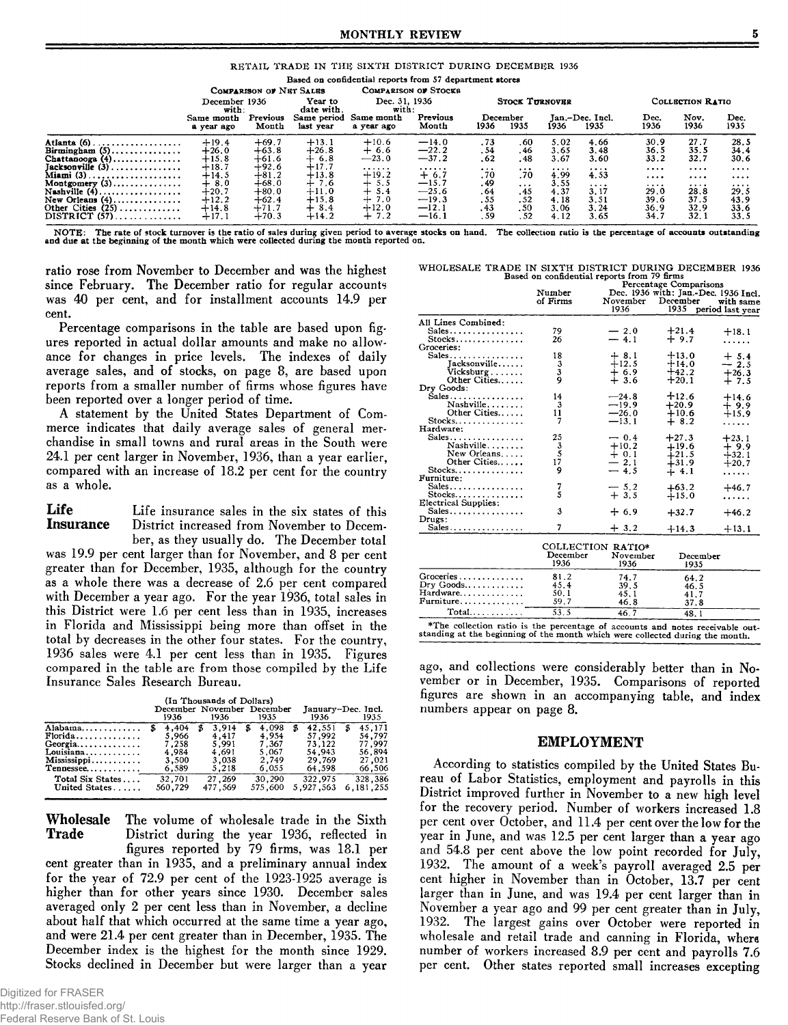#### **MONTHLY REVIEW** 5

|  |  |  | RETAIL TRADE IN THE SIXTH DISTRICT DURING DECEMBER 1936 |  |
|--|--|--|---------------------------------------------------------|--|
|  |  |  |                                                         |  |

|                                                                                                     |                                          |                                          |                                         | Based on confidential reports from 57 department stores |                                          |                           |                            |                              |                              |                              |                                 |                              |  |
|-----------------------------------------------------------------------------------------------------|------------------------------------------|------------------------------------------|-----------------------------------------|---------------------------------------------------------|------------------------------------------|---------------------------|----------------------------|------------------------------|------------------------------|------------------------------|---------------------------------|------------------------------|--|
|                                                                                                     |                                          | COMPARISON OF NET SALES                  |                                         |                                                         | <b>COMPARISON OF STOCKS</b>              |                           |                            |                              |                              |                              |                                 |                              |  |
|                                                                                                     | December 1936<br>with:                   |                                          | Year to<br>date with.                   | Dec. 31, 1936<br>with:                                  |                                          |                           | <b>STOCK TURNOVER</b>      |                              |                              |                              | COLLECTION RATIO                |                              |  |
|                                                                                                     | Same month<br>a year ago                 | Previous<br>Month                        | Same period<br>last vear                | Same month<br>a year ago                                | Previous<br>Month                        | 1936                      | December<br>1935           | 1936                         | Jan.-Dec. Incl.<br>1935      | Dec.<br>1936                 | Nov.<br>1936                    | Dec.<br>1935                 |  |
| Atlanta $(6)$<br>Birmingham $(5)$<br>Chattanooga $(4)$                                              | $+19.4$<br>$+26.0$<br>$+15.8$            | $+69.7$<br>$+63.8$<br>$+61.6$            | $+13.1$<br>$+26.8$<br>$+6.8$            | $+10.6$<br>$+6.6$<br>$-23.0$                            | $-14.0$<br>$-22.2$<br>$-37.2$            | .73<br>. 54<br>.62        | .60<br>. 46<br>. 48        | 5.02<br>3.65<br>3.67         | 4.66<br>3.48<br>3.60         | 30.9<br>36.5<br>33.2         | 27.7<br>35.5<br>32.7            | 28.5<br>34.4<br>30.6         |  |
| $Jacksconville (3) \ldots \ldots \ldots \ldots$<br>Miami $(3)$<br>Montgomery $(3)$                  | $+18.7$<br>$+14.5$<br>$+8.0$             | $+92.6$<br>$+81.2$<br>$+68.0$            | $+17.7$<br>$+13.8$<br>$+7.6$            | .<br>$+19.2$<br>$+ 5.5$                                 | .<br>$+6.7$<br>$-15.7$                   | $\frac{1}{20}$<br>. 49    | $\frac{1}{20}$<br>$\cdots$ | <br>4.99<br>3.55             | <br>4.53<br>$\cdots$         | $\cdots$<br>$\cdots$<br>     | $\cdots\cdots$<br>$\cdots$<br>. | $\cdots$<br><br>             |  |
| Nashville $(4)$<br>New Orleans $(4)$<br>Other Cities $(25)$<br>$DISTRICT (57) \ldots \ldots \ldots$ | $+20.7$<br>$+12.2$<br>$+14.8$<br>$+17.1$ | $+80.0$<br>$+62.4$<br>$+71.7$<br>$+70.3$ | $+11.0$<br>$+15.8$<br>$+8.4$<br>$+14.2$ | $+ 5.4$<br>$+7.0$<br>$+12.0$<br>$+7.2$                  | $-25.6$<br>$-19.3$<br>$-12.1$<br>$-16.1$ | .64<br>.55<br>.43<br>. 59 | .45<br>.52<br>.50<br>.52   | 4.37<br>4.18<br>3.06<br>4.12 | 3.17<br>3.51<br>3.24<br>3.65 | 29.0<br>39.6<br>36.9<br>34.7 | 28.8<br>37.5<br>32.9<br>32.1    | 29.5<br>43.9<br>33.6<br>33.5 |  |
|                                                                                                     |                                          |                                          |                                         |                                                         |                                          |                           |                            |                              |                              |                              |                                 |                              |  |

NOTE: The rate of stock turnover is the ratio of sales during given period to average stocks on hand. The collection ratio is the percentage of accounts outstanding and due at the beginning of the month which were collecte

ratio rose from November to December and was the highest since February. The December ratio for regular accounts was 40 per cent, and for installment accounts 14.9 per **cent.**

Percentage comparisons in the table are based upon figures reported in actual dollar amounts and make no allowance for changes in price levels. The indexes of daily average sales, and of stocks, on page 8, are based upon reports from a smaller number of firms whose figures have been reported over a longer period of time.

A statement by the United States Department of Commerce indicates that daily average sales of general mer**chandise in sm all towns and rural areas in the South were** 24.1 per cent larger in November, 1936, than a year earlier, compared with an increase of 18.2 per cent for the country **as a w hole.**

Life Life insurance sales in the six states of this **Insurance** District increased from November to Decem-District increased from November to December, as they usually do. The December total was 19.9 per cent larger than for November, and 8 per cent greater than for December, 1935, although for the country as a whole there was a decrease of 2.6 per cent compared with December a year ago. For the year 1936, total sales in this District were 1.6 per cent less than in 1935, increases in Florida and Mississippi being more than offset in the **total by decreases in the other four states. For the country, 1936 sales were 4.1 per cent less than in 1935. Figures** compared in the table are from those compiled by the Life **Insurance Sales Research Bureau.**

| (In Thousands of Dollars) |  |  |
|---------------------------|--|--|
|                           |  |  |

| (In Thousands of Dollars) |         |                            |            |             |                    |  |  |  |  |  |
|---------------------------|---------|----------------------------|------------|-------------|--------------------|--|--|--|--|--|
|                           |         | December November December |            |             | January-Dec. Incl. |  |  |  |  |  |
|                           | 1936    | 1936                       | 1935       | 1936        | 1935               |  |  |  |  |  |
| Alabama                   | 4,404   | 3.914<br>\$                | 4.098<br>£ | 42.551<br>Б | 45,171<br>S        |  |  |  |  |  |
| $Florida$                 | 5.966   | 4.417                      | 4.954      | 57.992      | 54.797             |  |  |  |  |  |
|                           | 7.258   | 5.991                      | 7.367      | 73.122      | 77.997             |  |  |  |  |  |
| Louisiana                 | 4.984   | 4.691                      | 5.067      | 54,943      | 56,894             |  |  |  |  |  |
| Mississippi               | 3.500   | 3,038                      | 2.749      | 29.769      | 27,021             |  |  |  |  |  |
| Tennessee                 | 6,589   | 5.218                      | 6.055      | 64,598      | 66,506             |  |  |  |  |  |
| Total Six States          | 32.701  | 27,269                     | 30,290     | 322.975     | 328.386            |  |  |  |  |  |
| United States             | 560.729 | 477.569                    | 575,600    | 5.927.563   | 6.181.255          |  |  |  |  |  |

**Wholesale** The volume of wholesale trade in the Sixth Trade District during the year 1936, reflected in District during the year 1936, reflected in **figures reported by 79 firms, was 18.1 per** cent greater than in 1935, and a preliminary annual index for the year of 72.9 per cent of the 1923-1925 average is higher than for other years since 1930. December sales averaged only 2 per cent less than in November, a decline about half that which occurred at the same time a year ago, and were 21.4 per cent greater than in December, 1935. The December index is the highest for the month since 1929. Stocks declined in December but were larger than a year

| WHOLESALE TRADE IN SIXTH DISTRICT DURING DECEMBER 1936 |  |                                             |  |  |
|--------------------------------------------------------|--|---------------------------------------------|--|--|
|                                                        |  | Based on confidential reports from 79 firms |  |  |

|                                                                                                                                                                |          |                   | Percentage Comparisons               |                  |  |  |  |
|----------------------------------------------------------------------------------------------------------------------------------------------------------------|----------|-------------------|--------------------------------------|------------------|--|--|--|
|                                                                                                                                                                | Number   |                   | Dec. 1936 with: Jan.-Dec. 1936 Incl. |                  |  |  |  |
|                                                                                                                                                                | of Firms | November          | December                             | with same        |  |  |  |
|                                                                                                                                                                |          | 1936              | 1935                                 | period last year |  |  |  |
| All Lines Combined:                                                                                                                                            |          |                   |                                      |                  |  |  |  |
| $Sales \ldots \ldots \ldots \ldots$                                                                                                                            | 79       | $-2.0$            | $+21.4$                              | $+18.1$          |  |  |  |
| $Stocks$                                                                                                                                                       | 26       | $-4.1$            | $+9.7$                               |                  |  |  |  |
| Groceries:                                                                                                                                                     |          |                   |                                      |                  |  |  |  |
| Sales                                                                                                                                                          | 18       | $+8.1$            | $+13.0$                              | $+5.4$           |  |  |  |
| Tacksonville                                                                                                                                                   | 3        | $+12.5$           | $+14.0$                              | $-2.5$           |  |  |  |
| Vicksburg                                                                                                                                                      | 3        | $+6.9$            | $+42.2$                              | $+26.3$          |  |  |  |
| Other Cities                                                                                                                                                   | 9        | $+3.6$            | $+20.1$                              | $+7.5$           |  |  |  |
| Dry Goods:                                                                                                                                                     |          |                   |                                      |                  |  |  |  |
| Sales                                                                                                                                                          | 14       | $-24.8$           | $+12.6$                              | $+14.6$          |  |  |  |
| Nashville                                                                                                                                                      | 3        | $-19.9$           | $+20.9$                              | $+9.9$           |  |  |  |
| Other Cities                                                                                                                                                   | 11       | $-26.0$           | $+10.6$                              | $+15.9$          |  |  |  |
| $Stocks$                                                                                                                                                       | 7        | $-13.1$           | $+8.2$                               | .                |  |  |  |
| Hardware:                                                                                                                                                      |          |                   |                                      |                  |  |  |  |
| Sales                                                                                                                                                          | 25       | $-0.4$            | $+27.3$                              | $+23.1$          |  |  |  |
| Nashville                                                                                                                                                      | 3        | $+10.2$           | $+19.6$                              | $+9.9$           |  |  |  |
| New Orleans                                                                                                                                                    | š        | $+0.1$            | $+21.5$                              | $+32.1$          |  |  |  |
| Other Cities                                                                                                                                                   | 17       | $-2.1$            | $+31.9$                              | $+20.7$          |  |  |  |
| $Stocks$                                                                                                                                                       | 9        | $-4,5$            | $+4.1$                               | .                |  |  |  |
| Furniture:                                                                                                                                                     |          |                   |                                      |                  |  |  |  |
| Sales                                                                                                                                                          | 7        | $-5.2$            | $+63.2$                              | $+46.7$          |  |  |  |
| Stocks                                                                                                                                                         | 5        | $+3.5$            | $+15.0$                              | .                |  |  |  |
| Electrical Supplies:                                                                                                                                           |          |                   |                                      |                  |  |  |  |
| Sales                                                                                                                                                          | 3        | $+6.9$            | $+32.7$                              | $+46.2$          |  |  |  |
| Drugs:                                                                                                                                                         |          |                   |                                      |                  |  |  |  |
| $Sales \ldots \ldots \ldots \ldots \ldots$                                                                                                                     | 7        | $+3.2$            | $+14.3$                              | $+13.1$          |  |  |  |
|                                                                                                                                                                |          | COLLECTION RATIO* |                                      |                  |  |  |  |
|                                                                                                                                                                | December | November          | December                             |                  |  |  |  |
|                                                                                                                                                                | 1936     | 1936              | 1935                                 |                  |  |  |  |
|                                                                                                                                                                |          |                   |                                      |                  |  |  |  |
| Groceries                                                                                                                                                      | 81.2     | 74.7              | 64.2                                 |                  |  |  |  |
| $_{\rm Dry}$ Goods                                                                                                                                             | 45.4     | 39.5              | 46.5                                 |                  |  |  |  |
| Hardware                                                                                                                                                       | 50.1     | 45.1              | 41.7                                 |                  |  |  |  |
| Furniture                                                                                                                                                      | 59.7     | 46.8              | 37.8                                 |                  |  |  |  |
| Total                                                                                                                                                          | 53.5     | 46.7              | 48.1                                 |                  |  |  |  |
| *The collection ratio is the percentage of accounts and notes receivable out-<br>standing at the beginning of the month which were collected during the month, |          |                   |                                      |                  |  |  |  |

ago, and collections were considerably better than in November or in December, 1935. Comparisons of reported **figures are shown in an accom panying table, and index numbers appear on page 8.**

#### EMPLOYMENT

According to statistics compiled by the United States Bureau of Labor Statistics, employment and payrolls in this District improved further in November to a new high level for the recovery period. Number of workers increased 1.8 **per cent over October, and 11.4 per cent over the low for the year in June, and was 12.5 per cent larger than a year ago and 54.8 per cent above the low point recorded for July,** 1932. The amount of a week's payroll averaged 2.5 per cent higher in November than in October, 13.7 per cent **larger than in June, and was 19.4 per cent larger than in Novem ber a year ago and 99 per cent greater than in July, 1932. The largest gains over October were reported in** wholesale and retail trade and canning in Florida, where number of workers increased 8.9 per cent and payrolls 7.6 per cent. Other states reported small increases excepting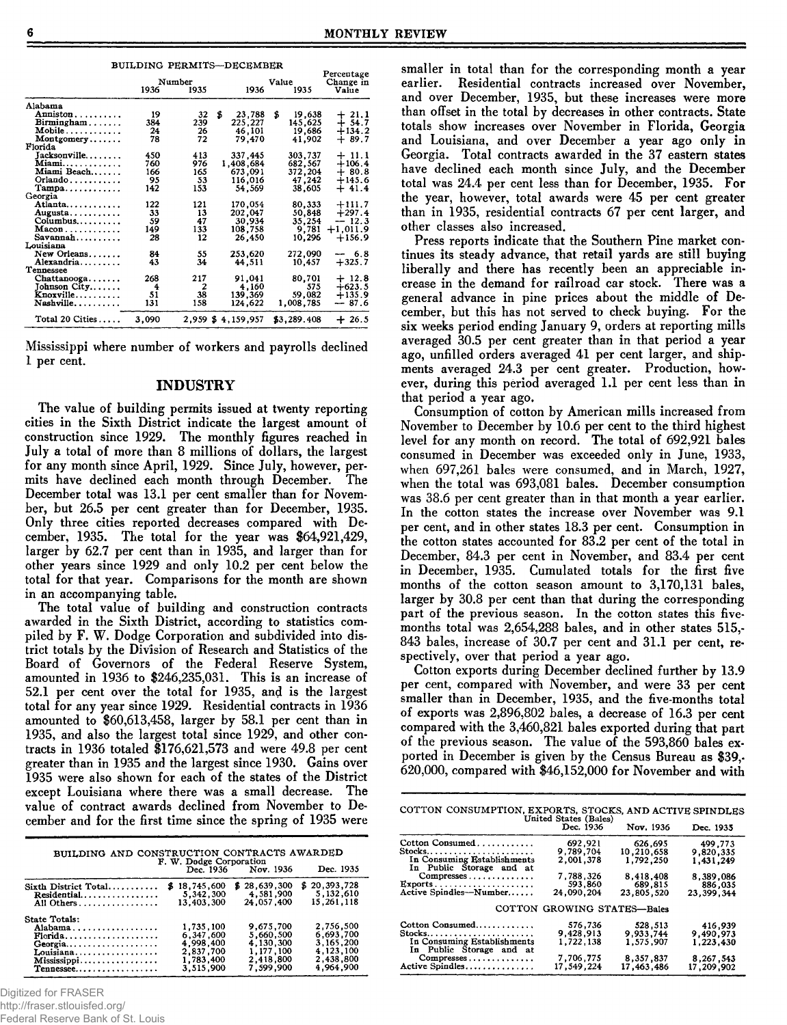| BUILDING PERMITS---DECEMBER |        |      |       |                   |    |             |                         |
|-----------------------------|--------|------|-------|-------------------|----|-------------|-------------------------|
|                             | Number |      | Value |                   |    |             | Percentage<br>Change in |
|                             | 1936   | 1935 |       | 1936              |    | 1935        | Value                   |
| Alabama                     |        |      |       |                   |    |             |                         |
| Anniston                    | 19     | 32   | \$    | 23,788            | \$ | 19,638      | $+21.1$                 |
| Birmingham                  | 384    | 239  |       | 225,227           |    | 145,625     | $+54.7$                 |
| Mobile                      | 24     | 26   |       | 46,101            |    | 19,686      | $+134.2$                |
| Montgomery                  | 78     | 72   |       | 79.470            |    | 41.902      | $+89.7$                 |
| Florida                     |        |      |       |                   |    |             |                         |
| Jacksonville                | 450    | 413  |       | 337,445           |    | 303,737     | $+11.1$                 |
| Miami                       | 760    | 976  |       | 1,408,684         |    | 682,567     | $+106.4$                |
| Miami Beach                 | 166    | 165  |       | 673,091           |    | 372,204     | $+80.8$                 |
| Orlando                     | 95     | 53   |       | 116,016           |    | 47,242      | $+145.6$                |
| $Tampa \ldots \ldots$       | 142    | 153  |       | 54.569            |    | 38,605      | $+41.4$                 |
| Georgia                     |        |      |       |                   |    |             |                         |
| Atlanta                     | 122    | 121  |       | 170.054           |    | 80,333      | $+111.7$                |
| Augusta                     | 33     | 13   |       | 202,047           |    | 50,848      | $+297.4$                |
| Columbus                    | 59     | 47   |       | 30,934            |    | 35,254      | $-12.3$                 |
| $Macon$                     | 149    | 133  |       | 108,758           |    | 9,781       | $+1,011.9$              |
| $Savannah$                  | 28     | 12   |       | 26,450            |    | 10.296      | $+156.9$                |
| Louisiana                   |        |      |       |                   |    |             |                         |
| New Orleans                 | 84     | 55   |       | 253,620           |    | 272,090     | $-6.8$                  |
| Alexandria                  | 43     | 34   |       | 44,511            |    | 10.457      | $+325.7$                |
| Tennessee                   |        |      |       |                   |    |             |                         |
| $Chattanooga. \ldots$ .     | 268    | 217  |       | 91.041            |    | 80,701      | $+12.8$                 |
| Johnson City                | 4      | 2    |       | 4,160             |    | 575         | $+623.5$                |
| Knoxville                   | 51     | 38   |       | 139,369           |    | 59,082      | $+135.9$                |
| Nashville                   | 131    | 158  |       | 124.622           |    | 1,008,785   | $-87.6$                 |
|                             |        |      |       |                   |    |             |                         |
| Total 20 Cities             | 3,090  |      |       | 2.959 \$4.159.957 |    | \$3,289.408 | $+26.5$                 |

Mississippi where number of workers and payrolls declined **1 per cent.**

#### **INDUSTRY**

The value of building permits issued at twenty reporting cities in the Sixth District indicate the largest amount of construction since 1929. The monthly figures reached in July a total of more than 8 millions of dollars, the largest for any month since April, 1929. Since July, however, permits have declined each month through December. The December total was 13.1 per cent smaller than for November, but 26.5 per cent greater than for December, 1935. Only three cities reported decreases compared with December, 1935. The total for the year was \$64,921,429, **larger by 62.7 per cent than in 1935, and larger than for other years since 1929 and on ly 10.2 per cent below the** total for that year. Comparisons for the month are shown in an accompanying table.

The total value of building and construction contracts awarded in the Sixth District, according to statistics compiled by **F. W.** Dodge Corporation and subdivided into district totals by the Division of Research and Statistics of the Board of Governors of the Federal Reserve System, amounted in 1936 to \$246,235,031. This is an increase of **52.1 per cent over the total for 1935, and is the largest** total for any year since 1929. Residential contracts in 1936 **am ounted to \$ 60,613,458, larger by 58.1 per cent than in 1935, and also the largest total since 1929, and other con**tracts in 1936 totaled \$176,621,573 and were 49.8 per cent **greater than in 1935 and the largest since 1930. Gains over** 1935 were also shown for each of the states of the District except Louisiana where there was a small decrease. The value of contract awards declined from November to December and for the first time since the spring of 1935 were

| BUILDING AND CONSTRUCTION CONTRACTS AWARDED<br>F. W. Dodge Corporation<br>Dec. 1936 Nov. 1936<br>Dec. 1935                           |                                                                            |                                                                            |                                                                            |  |  |  |  |  |
|--------------------------------------------------------------------------------------------------------------------------------------|----------------------------------------------------------------------------|----------------------------------------------------------------------------|----------------------------------------------------------------------------|--|--|--|--|--|
| Sixth District Total<br>Residential<br>All Others                                                                                    | \$18,745,600<br>5,342,300<br>13.403.300                                    | \$28.639.300<br>4,581,900<br>24.057.400                                    | \$20,393,728<br>5,132,610<br>15,261,118                                    |  |  |  |  |  |
| State Totals:<br>Alabama<br>$\text{Florida} \dots \dots \dots \dots \dots \dots$<br>Georgia<br>Louisiana<br>Mississippi<br>Tennessee | 1.735.100<br>6.347.600<br>4.998.400<br>2.837.700<br>1,783,400<br>3,515,900 | 9,675,700<br>5,660,500<br>4.130.300<br>1.177.100<br>2,418,800<br>7,599,900 | 2,756,500<br>6,693,700<br>3,165,200<br>4,123,100<br>2.438,800<br>4,964,900 |  |  |  |  |  |

Digitized for FRASER

http://fraser.stlouisfed.org/

Federal Reserve Bank of St. Louis

smaller in total than for the corresponding month a year earlier. Residential contracts increased over November, and over December, 1935, but these increases were more **than offset in the total by decreases in other contracts. State** totals show increases over November in Florida, Georgia and Louisiana, and over December a year ago only in Georgia. Total contracts awarded in the 37 eastern states have declined each month since July, and the December total was 24.4 per cent less than for December, 1935. For the year, however, total awards were 45 per cent greater **than in 1935, residential contracts 67 per cent larger, and other classes also increased.**

Press reports indicate that the Southern Pine market continues its steady advance, that retail yards are still buying liberally and there has recently been an appreciable increase in the demand for railroad car stock. There was a general advance in pine prices about the middle of December, but this has not served to check buying. For the six weeks period ending January 9, orders at reporting mills **averaged 30.5 per cent greater than in that period a year** ago, unfilled orders averaged 41 per cent larger, and shipments averaged 24.3 per cent greater. Production, how**ever, during this period averaged 1.1 per cent less than in that period a year ago.**

Consumption of cotton by American mills increased from November to December by 10.6 per cent to the third highest level for any month on record. The total of 692,921 bales consumed in December was exceeded only in June, 1933, when 697,261 bales were consumed, and in March, 1927, when the total was 693,081 bales. December consumption was 38.6 per cent greater than in that month a year earlier. In the cotton states the increase over November was 9.1 per cent, and in other states 18.3 per cent. Consumption in the cotton states accounted for 83.2 per cent of the total in December, 84.3 per cent in November, and 83.4 per cent in December, 1935. Cumulated totals for the first five months of the cotton season amount to 3,170,131 bales, **larger by 30.8 per cent than that during the corresponding** part of the previous season. In the cotton states this fivemonths total was 2,654,288 bales, and in other states 515,-843 bales, increase of 30.7 per cent and 31.1 per cent, re**spectively, over that period a year ago.**

Cotton exports during December declined further by 13.9 per cent, compared with November, and were 33 per cent smaller than in December, 1935, and the five-months total of exports was 2,896,802 bales, a decrease of 16.3 per cent **com pared w ith the 3,460,821 bales exported during that part** of the previous season. The value of the 593,860 bales exported in December is given by the Census Bureau as \$39,-**620,000, com pared with \$ 4 6 ,1 5 2 ,0 0 0 for N ovem ber and w ith**

| COTTON CONSUMPTION, EXPORTS, STOCKS, AND ACTIVE SPINDLES                                                                                                  |                                                                         |                                                                          |                                                                         |
|-----------------------------------------------------------------------------------------------------------------------------------------------------------|-------------------------------------------------------------------------|--------------------------------------------------------------------------|-------------------------------------------------------------------------|
|                                                                                                                                                           | United States (Bales)<br>Dec. 1936                                      | Nov. 1936                                                                | Dec. 1935                                                               |
| Cotton Consumed<br>$Stocks$<br>In Consuming Establishments<br>In Public Storage and at<br>$Compresses \ldots \ldots$<br>Exports<br>Active Spindles-Number | 692.921<br>9,789,704<br>2.001.378<br>7,788,326<br>593,860<br>24,090,204 | 626.695<br>10,210,658<br>1,792,250<br>8,418,408<br>689.815<br>23.805.520 | 499.773<br>9,820,335<br>1,431,249<br>8,389,086<br>886,035<br>23,399,344 |
|                                                                                                                                                           | COTTON GROWING STATES-Bales                                             |                                                                          |                                                                         |
| Cotton Consumed<br>$Stocks$<br>In Consuming Establishments<br>In Public Storage and at<br>Compresses<br>Active Spindles                                   | 576.736<br>9.428.913<br>1.722.138<br>7.706.775<br>17.549.224            | 528,513<br>9,933,744<br>1,575,907<br>8.357.837<br>17,463,486             | 416,939<br>9,490,973<br>1,223,430<br>8,267,543<br>17,209,902            |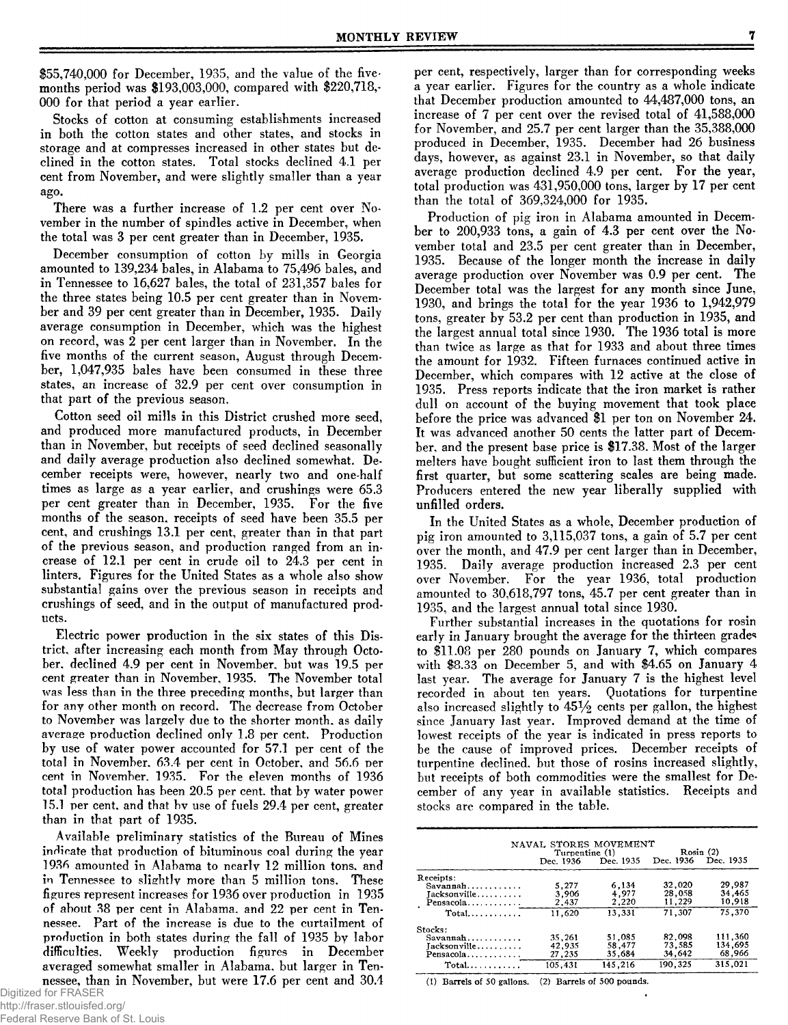\$55,740,000 for December, 1935, and the value of the fivemonths period was \$193,003,000, compared with \$220,718,-**000 for that period a year earlier.**

Stocks of cotton at consuming establishments increased **in both the cotton states and other states, and stocks in** storage and at compresses increased in other states but de**clined in the cotton states. T otal stocks declined 4.1 per** cent from November, and were slightly smaller than a year **ago.**

There was a further increase of 1.2 per cent over November in the number of spindles active in December, when the total was 3 per cent greater than in December, 1935.

December consumption of cotton by mills in Georgia amounted to 139,234 bales, in Alabama to 75,496 bales, and in Tennessee to 16,627 bales, the total of 231,357 bales for the three states being 10.5 per cent greater than in November and 39 per cent greater than in December, 1935. Daily average consumption in December, which was the highest on record, was 2 per cent larger than in November. In the five months of the current season, August through December, 1,047,935 bales have been consumed in these three states, an increase of 32.9 per cent over consumption in that part of the previous season.

Cotton seed oil mills in this District crushed more seed. and produced more manufactured products, in December than in November, but receipts of seed declined seasonally and daily average production also declined somewhat. December receipts were, however, nearly two and one-half **tim es as large as a year earlier, and crushings were 65.3** per cent greater than in December, 1935. For the five months of the season, receipts of seed have been 35.5 per **cent, and crushings 13.1 per cent, greater than in that part** of the previous season, and production ranged from an increase of 12.1 per cent in crude oil to 24.3 per cent in linters. Figures for the United States as a whole also show **substantial gains over the previous season in receipts and** crushings of seed, and in the output of manufactured prod**ucts.**

Electric power production in the six states of this District, after increasing each month from May through October, declined 4.9 per cent in November, but was 19.5 per cent greater than in November, 1935. The November total was less than in the three preceding months, but larger than **for any other month on record. The decrease from October** to November was largely due to the shorter month, as daily **average production declined on ly 1.8 per cent. Production** by use of water power accounted for 57.1 per cent of the total in November, 63.4 per cent in October, and 56.6 per cent in November, 1935. For the eleven months of 1936 **total production has been 20.5 per cent, that by water power** 15.1 per cent, and that by use of fuels 29.4 per cent, greater than in that part of 1935.

Available preliminary statistics of the Bureau of Mines indicate that production of bituminous coal during the year 1936 amounted in Alabama to nearly 12 million tons, and in Tennessee to slightly more than 5 million tons. These **figures represent increases for 1936 over production in 1935** of about 38 per cent in Alabama, and 22 per cent in Tennessee. Part of the increase is due to the curtailment of production in both states during the fall of 1935 by labor difficulties. Weekly production figures in December averaged somewhat smaller in Alabama, but larger in Ten**nessee, than in November, but were 17.6 per cent and 30.4**  **per cent, respectively, larger than for corresponding weeks** a year earlier. Figures for the country as a whole indicate that December production amounted to  $44,487,000$  tons, an increase of 7 per cent over the revised total of  $41,588,000$ for November, and 25.7 per cent larger than the  $35,388,000$ produced in December, 1935. December had 26 business days, however, as against 23.1 in November, so that daily **average production declined 4.9 per cent. For the year, total production was 431,950,000 tons, larger by 17 per cent** than the total of 369,324,000 for 1935.

Production of pig iron in Alabama amounted in December to 200,933 tons, a gain of 4.3 per cent over the November total and 23.5 per cent greater than in December, 1935. Because of the longer month the increase in daily average production over November was 0.9 per cent. The December total was the largest for any month since June, **1930, and brings the total for the year 1936 to 1,942,979 tons, greater by 53.2 per cent than production in 1935, and** the largest annual total since 1930. The 1936 total is more than twice as large as that for 1933 and about three times **the am ount for 1932. Fifteen furnaces continued active in** December, which compares with 12 active at the close of **1935. Press reports indicate that the iron market is rather** dull on account of the buying movement that took place before the price was advanced \$1 per ton on November 24. It was advanced another 50 cents the latter part of December, and the present base price is \$17.38. Most of the larger melters have bought sufficient iron to last them through the first quarter, but some scattering scales are being made. Producers entered the new year liberally supplied with **unfilled orders.**

In the United States as a whole, December production of pig iron amounted to 3,115,037 tons, a gain of 5.7 per cent **over the month, and 47.9 per cent larger than in December,** 1935. Daily average production increased 2.3 per cent over November. For the year 1936, total production **amounted to 30,618,797 tons, 45.7 per cent greater than in 1935, and the largest annual total since 1930.**

**Further substantial increases in the quotations for rosin early in January brought the average for the thirteen grades** to \$11.08 per 280 pounds on January 7, which compares with \$8.33 on December 5, and with \$4.65 on January 4 **last year. The average for January 7 is the highest level** recorded in about ten years. Quotations for turpentine also increased slightly to  $45\frac{1}{2}$  cents per gallon, the highest since January last year. Improved demand at the time of lowest receipts of the year is indicated in press reports to be the cause of improved prices. December receipts of turpentine declined, but those of rosins increased slightly, but receipts of both commodities were the smallest for December of any year in available statistics. Receipts and **stocks are com pared in the table.**

|                                 | NAVAL STORES MOVEMENT<br>Turpentine (1) |                               | Rosin(2) |           |  |  |
|---------------------------------|-----------------------------------------|-------------------------------|----------|-----------|--|--|
|                                 |                                         | Dec. 1936 Dec. 1935 Dec. 1936 |          | Dec. 1935 |  |  |
| Receipts:                       |                                         |                               |          |           |  |  |
| $Savannah \ldots \ldots \ldots$ | 5.277                                   | 6,134                         | 32,020   | 29.987    |  |  |
| Jacksonville                    | 3,906                                   | 4.977                         | 28,058   | 34,465    |  |  |
| Pensacola                       | 2,437                                   | 2,220                         | 11,229   | 10,918    |  |  |
| $Total$                         | 11.620                                  | 13,331                        | 71,307   | 75,370    |  |  |
| Stocks:                         |                                         |                               |          |           |  |  |
| Savannah                        | 35.261                                  | 51,085                        | 82.098   | 111,360   |  |  |
| Tacksonville                    | 42.935                                  | 58.477                        | 73.585   | 134,695   |  |  |
| Pensacola                       | 27,235                                  | 35,684                        | 34,642   | 68,966    |  |  |
| $Total$                         | 105.431                                 | 145.216                       | 190,325  | 315,021   |  |  |

**(1) Barrels of 50 gallons. (2) Barrels of 500 pounds.**